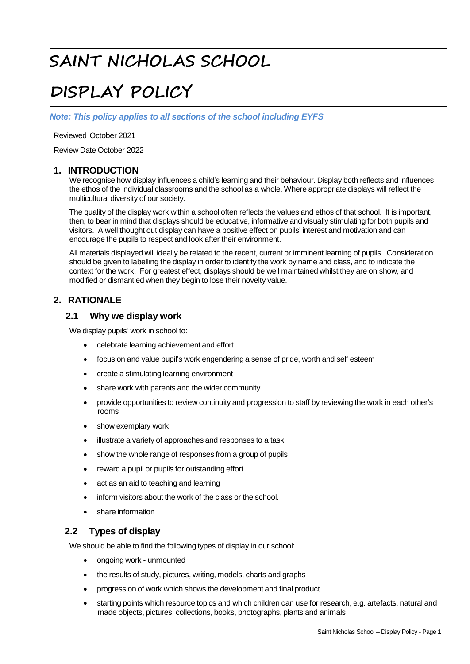# **SAINT NICHOLAS SCHOOL**

# **DISPLAY POLICY**

*Note: This policy applies to all sections of the school including EYFS*

Reviewed October 2021

Review Date October 2022

## **1. INTRODUCTION**

We recognise how display influences a child's learning and their behaviour. Display both reflects and influences the ethos of the individual classrooms and the school as a whole. Where appropriate displays will reflect the multicultural diversity of our society.

The quality of the display work within a school often reflects the values and ethos of that school. It is important, then, to bear in mind that displays should be educative, informative and visually stimulating for both pupils and visitors. A well thought out display can have a positive effect on pupils' interest and motivation and can encourage the pupils to respect and look after their environment.

All materials displayed will ideally be related to the recent, current or imminent learning of pupils. Consideration should be given to labelling the display in order to identify the work by name and class, and to indicate the context for the work. For greatest effect, displays should be well maintained whilst they are on show, and modified or dismantled when they begin to lose their novelty value.

## **2. RATIONALE**

#### **2.1 Why we display work**

We display pupils' work in school to:

- celebrate learning achievement and effort
- focus on and value pupil's work engendering a sense of pride, worth and self esteem
- create a stimulating learning environment
- share work with parents and the wider community
- provide opportunities to review continuity and progression to staff by reviewing the work in each other's rooms
- show exemplary work
- illustrate a variety of approaches and responses to a task
- show the whole range of responses from a group of pupils
- reward a pupil or pupils for outstanding effort
- act as an aid to teaching and learning
- inform visitors about the work of the class or the school.
- share information

## **2.2 Types of display**

We should be able to find the following types of display in our school:

- ongoing work unmounted
- the results of study, pictures, writing, models, charts and graphs
- progression of work which shows the development and final product
- starting points which resource topics and which children can use for research, e.g. artefacts, natural and made objects, pictures, collections, books, photographs, plants and animals